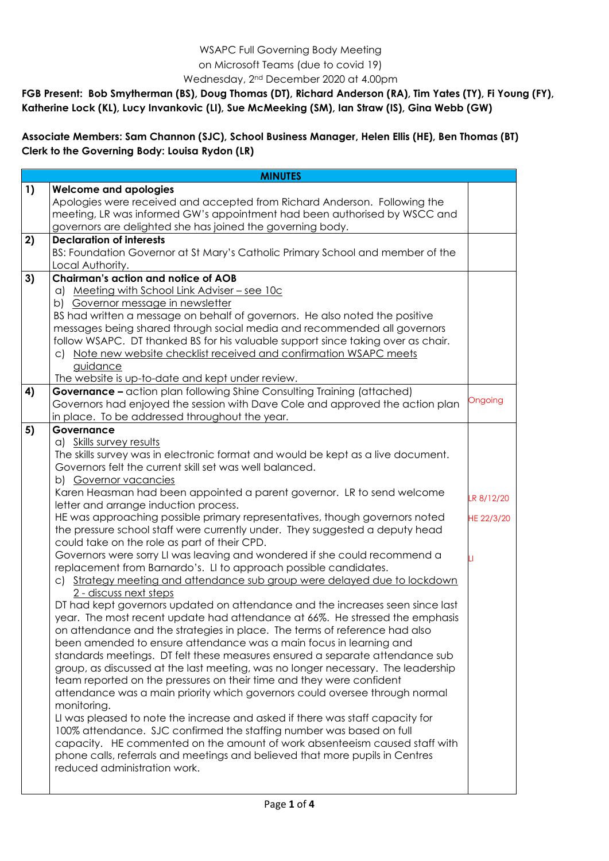## WSAPC Full Governing Body Meeting on Microsoft Teams (due to covid 19) Wednesday, 2nd December 2020 at 4.00pm

**FGB Present: Bob Smytherman (BS), Doug Thomas (DT), Richard Anderson (RA), Tim Yates (TY), Fi Young (FY), Katherine Lock (KL), Lucy Invankovic (LI), Sue McMeeking (SM), Ian Straw (IS), Gina Webb (GW)**

**Associate Members: Sam Channon (SJC), School Business Manager, Helen Ellis (HE), Ben Thomas (BT) Clerk to the Governing Body: Louisa Rydon (LR)**

| <b>MINUTES</b> |                                                                                                                              |            |  |
|----------------|------------------------------------------------------------------------------------------------------------------------------|------------|--|
| 1)             | <b>Welcome and apologies</b>                                                                                                 |            |  |
|                | Apologies were received and accepted from Richard Anderson. Following the                                                    |            |  |
|                | meeting, LR was informed GW's appointment had been authorised by WSCC and                                                    |            |  |
|                | governors are delighted she has joined the governing body.                                                                   |            |  |
| 2)             | <b>Declaration of interests</b>                                                                                              |            |  |
|                | BS: Foundation Governor at St Mary's Catholic Primary School and member of the                                               |            |  |
|                | Local Authority.                                                                                                             |            |  |
| 3)             | <b>Chairman's action and notice of AOB</b>                                                                                   |            |  |
|                | a) Meeting with School Link Adviser - see 10c                                                                                |            |  |
|                | b) Governor message in newsletter                                                                                            |            |  |
|                | BS had written a message on behalf of governors. He also noted the positive                                                  |            |  |
|                | messages being shared through social media and recommended all governors                                                     |            |  |
|                | follow WSAPC. DT thanked BS for his valuable support since taking over as chair.                                             |            |  |
|                | c) Note new website checklist received and confirmation WSAPC meets                                                          |            |  |
|                | guidance                                                                                                                     |            |  |
|                | The website is up-to-date and kept under review.                                                                             |            |  |
| 4)             | <b>Governance - action plan following Shine Consulting Training (attached)</b>                                               |            |  |
|                | Governors had enjoyed the session with Dave Cole and approved the action plan                                                | Ongoing    |  |
|                | in place. To be addressed throughout the year.                                                                               |            |  |
| 5)             | Governance                                                                                                                   |            |  |
|                | a) Skills survey results                                                                                                     |            |  |
|                | The skills survey was in electronic format and would be kept as a live document.                                             |            |  |
|                | Governors felt the current skill set was well balanced.                                                                      |            |  |
|                | b) Governor vacancies                                                                                                        |            |  |
|                | Karen Heasman had been appointed a parent governor. LR to send welcome                                                       | LR 8/12/20 |  |
|                | letter and arrange induction process.                                                                                        |            |  |
|                | HE was approaching possible primary representatives, though governors noted                                                  | HE 22/3/20 |  |
|                | the pressure school staff were currently under. They suggested a deputy head<br>could take on the role as part of their CPD. |            |  |
|                | Governors were sorry LI was leaving and wondered if she could recommend a                                                    |            |  |
|                | replacement from Barnardo's. LI to approach possible candidates.                                                             |            |  |
|                | c) Strategy meeting and attendance sub group were delayed due to lockdown                                                    |            |  |
|                | 2 - discuss next steps                                                                                                       |            |  |
|                | DT had kept governors updated on attendance and the increases seen since last                                                |            |  |
|                | year. The most recent update had attendance at 66%. He stressed the emphasis                                                 |            |  |
|                | on attendance and the strategies in place. The terms of reference had also                                                   |            |  |
|                | been amended to ensure attendance was a main focus in learning and                                                           |            |  |
|                | standards meetings. DT felt these measures ensured a separate attendance sub                                                 |            |  |
|                | group, as discussed at the last meeting, was no longer necessary. The leadership                                             |            |  |
|                | team reported on the pressures on their time and they were confident                                                         |            |  |
|                | attendance was a main priority which governors could oversee through normal                                                  |            |  |
|                | monitoring.                                                                                                                  |            |  |
|                | LI was pleased to note the increase and asked if there was staff capacity for                                                |            |  |
|                | 100% attendance. SJC confirmed the staffing number was based on full                                                         |            |  |
|                | capacity. HE commented on the amount of work absenteeism caused staff with                                                   |            |  |
|                | phone calls, referrals and meetings and believed that more pupils in Centres                                                 |            |  |
|                | reduced administration work.                                                                                                 |            |  |
|                |                                                                                                                              |            |  |
|                |                                                                                                                              |            |  |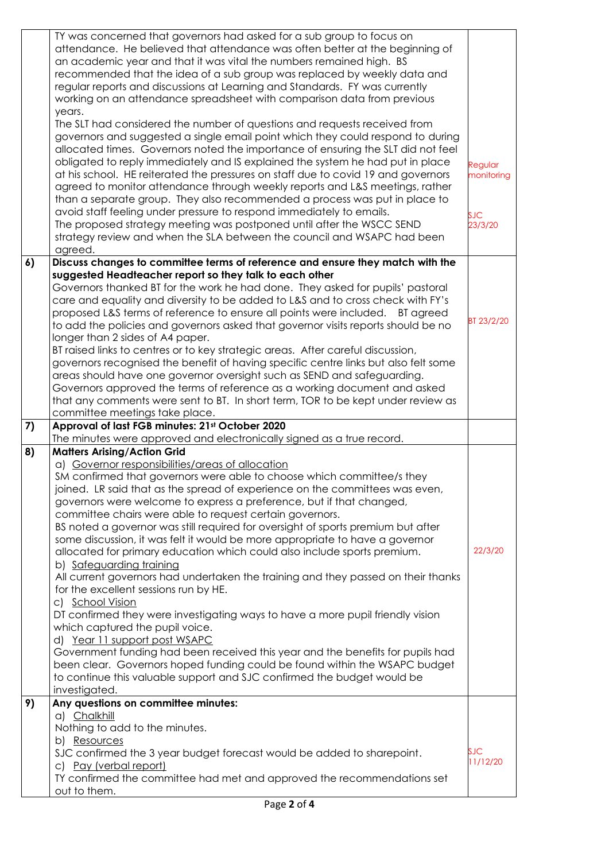|    | TY was concerned that governors had asked for a sub group to focus on<br>attendance. He believed that attendance was often better at the beginning of<br>an academic year and that it was vital the numbers remained high. BS<br>recommended that the idea of a sub group was replaced by weekly data and<br>regular reports and discussions at Learning and Standards. FY was currently<br>working on an attendance spreadsheet with comparison data from previous<br>years.<br>The SLT had considered the number of questions and requests received from<br>governors and suggested a single email point which they could respond to during                                                                                                                                                                                                                                                                                                                                                                                                                                                                                                                                                                                        |                        |
|----|--------------------------------------------------------------------------------------------------------------------------------------------------------------------------------------------------------------------------------------------------------------------------------------------------------------------------------------------------------------------------------------------------------------------------------------------------------------------------------------------------------------------------------------------------------------------------------------------------------------------------------------------------------------------------------------------------------------------------------------------------------------------------------------------------------------------------------------------------------------------------------------------------------------------------------------------------------------------------------------------------------------------------------------------------------------------------------------------------------------------------------------------------------------------------------------------------------------------------------------|------------------------|
|    | allocated times. Governors noted the importance of ensuring the SLT did not feel<br>obligated to reply immediately and IS explained the system he had put in place<br>at his school. HE reiterated the pressures on staff due to covid 19 and governors<br>agreed to monitor attendance through weekly reports and L&S meetings, rather<br>than a separate group. They also recommended a process was put in place to                                                                                                                                                                                                                                                                                                                                                                                                                                                                                                                                                                                                                                                                                                                                                                                                                | Regular<br>monitoring  |
|    | avoid staff feeling under pressure to respond immediately to emails.<br>The proposed strategy meeting was postponed until after the WSCC SEND<br>strategy review and when the SLA between the council and WSAPC had been<br>agreed.                                                                                                                                                                                                                                                                                                                                                                                                                                                                                                                                                                                                                                                                                                                                                                                                                                                                                                                                                                                                  | <b>SJC</b><br>23/3/20  |
| 6) | Discuss changes to committee terms of reference and ensure they match with the                                                                                                                                                                                                                                                                                                                                                                                                                                                                                                                                                                                                                                                                                                                                                                                                                                                                                                                                                                                                                                                                                                                                                       |                        |
|    | suggested Headteacher report so they talk to each other<br>Governors thanked BT for the work he had done. They asked for pupils' pastoral<br>care and equality and diversity to be added to L&S and to cross check with FY's<br>proposed L&S terms of reference to ensure all points were included.<br><b>BT</b> agreed<br>to add the policies and governors asked that governor visits reports should be no<br>longer than 2 sides of A4 paper.<br>BT raised links to centres or to key strategic areas. After careful discussion,<br>governors recognised the benefit of having specific centre links but also felt some<br>areas should have one governor oversight such as SEND and safeguarding.<br>Governors approved the terms of reference as a working document and asked<br>that any comments were sent to BT. In short term, TOR to be kept under review as                                                                                                                                                                                                                                                                                                                                                               | BT 23/2/20             |
|    | committee meetings take place.                                                                                                                                                                                                                                                                                                                                                                                                                                                                                                                                                                                                                                                                                                                                                                                                                                                                                                                                                                                                                                                                                                                                                                                                       |                        |
| 7) | Approval of last FGB minutes: 21st October 2020<br>The minutes were approved and electronically signed as a true record.                                                                                                                                                                                                                                                                                                                                                                                                                                                                                                                                                                                                                                                                                                                                                                                                                                                                                                                                                                                                                                                                                                             |                        |
| 8) | <b>Matters Arising/Action Grid</b><br>a) Governor responsibilities/areas of allocation<br>SM confirmed that governors were able to choose which committee/s they<br>joined. LR said that as the spread of experience on the committees was even,<br>governors were welcome to express a preference, but if that changed,<br>committee chairs were able to request certain governors.<br>BS noted a governor was still required for oversight of sports premium but after<br>some discussion, it was felt it would be more appropriate to have a governor<br>allocated for primary education which could also include sports premium.<br>b) Safeguarding training<br>All current governors had undertaken the training and they passed on their thanks<br>for the excellent sessions run by HE.<br>c) School Vision<br>DT confirmed they were investigating ways to have a more pupil friendly vision<br>which captured the pupil voice.<br>d) Year 11 support post WSAPC<br>Government funding had been received this year and the benefits for pupils had<br>been clear. Governors hoped funding could be found within the WSAPC budget<br>to continue this valuable support and SJC confirmed the budget would be<br>investigated. | 22/3/20                |
| 9) | Any questions on committee minutes:                                                                                                                                                                                                                                                                                                                                                                                                                                                                                                                                                                                                                                                                                                                                                                                                                                                                                                                                                                                                                                                                                                                                                                                                  |                        |
|    | a) Chalkhill<br>Nothing to add to the minutes.<br>b) Resources<br>SJC confirmed the 3 year budget forecast would be added to sharepoint.<br>c) Pay (verbal report)<br>TY confirmed the committee had met and approved the recommendations set<br>out to them.                                                                                                                                                                                                                                                                                                                                                                                                                                                                                                                                                                                                                                                                                                                                                                                                                                                                                                                                                                        | <b>SJC</b><br>11/12/20 |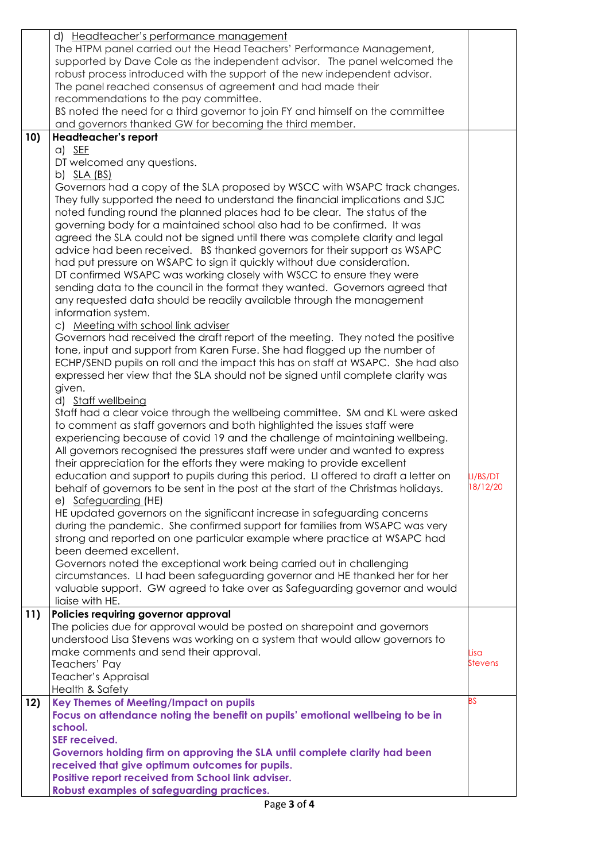|     | d) Headteacher's performance management                                             |           |
|-----|-------------------------------------------------------------------------------------|-----------|
|     | The HTPM panel carried out the Head Teachers' Performance Management,               |           |
|     | supported by Dave Cole as the independent advisor. The panel welcomed the           |           |
|     | robust process introduced with the support of the new independent advisor.          |           |
|     | The panel reached consensus of agreement and had made their                         |           |
|     | recommendations to the pay committee.                                               |           |
|     | BS noted the need for a third governor to join FY and himself on the committee      |           |
|     | and governors thanked GW for becoming the third member.                             |           |
| 10) | Headteacher's report                                                                |           |
|     | $a)$ SEF                                                                            |           |
|     | DT welcomed any questions.                                                          |           |
|     | b) <u>SLA (BS)</u>                                                                  |           |
|     | Governors had a copy of the SLA proposed by WSCC with WSAPC track changes.          |           |
|     | They fully supported the need to understand the financial implications and SJC      |           |
|     | noted funding round the planned places had to be clear. The status of the           |           |
|     | governing body for a maintained school also had to be confirmed. It was             |           |
|     | agreed the SLA could not be signed until there was complete clarity and legal       |           |
|     | advice had been received. BS thanked governors for their support as WSAPC           |           |
|     | had put pressure on WSAPC to sign it quickly without due consideration.             |           |
|     | DT confirmed WSAPC was working closely with WSCC to ensure they were                |           |
|     | sending data to the council in the format they wanted. Governors agreed that        |           |
|     | any requested data should be readily available through the management               |           |
|     | information system.                                                                 |           |
|     | c) Meeting with school link adviser                                                 |           |
|     | Governors had received the draft report of the meeting. They noted the positive     |           |
|     | tone, input and support from Karen Furse. She had flagged up the number of          |           |
|     | ECHP/SEND pupils on roll and the impact this has on staff at WSAPC. She had also    |           |
|     | expressed her view that the SLA should not be signed until complete clarity was     |           |
|     | given.                                                                              |           |
|     | d) Staff wellbeing                                                                  |           |
|     | Staff had a clear voice through the wellbeing committee. SM and KL were asked       |           |
|     | to comment as staff governors and both highlighted the issues staff were            |           |
|     | experiencing because of covid 19 and the challenge of maintaining wellbeing.        |           |
|     | All governors recognised the pressures staff were under and wanted to express       |           |
|     | their appreciation for the efforts they were making to provide excellent            |           |
|     | education and support to pupils during this period. LI offered to draft a letter on | LI/BS/DT  |
|     | behalf of governors to be sent in the post at the start of the Christmas holidays.  | 18/12/20  |
|     | e) Safeguarding (HE)                                                                |           |
|     | HE updated governors on the significant increase in safeguarding concerns           |           |
|     | during the pandemic. She confirmed support for families from WSAPC was very         |           |
|     | strong and reported on one particular example where practice at WSAPC had           |           |
|     | been deemed excellent.                                                              |           |
|     | Governors noted the exceptional work being carried out in challenging               |           |
|     | circumstances. LI had been safeguarding governor and HE thanked her for her         |           |
|     | valuable support. GW agreed to take over as Safeguarding governor and would         |           |
|     | liaise with HE.                                                                     |           |
| 11) | Policies requiring governor approval                                                |           |
|     | The policies due for approval would be posted on sharepoint and governors           |           |
|     | understood Lisa Stevens was working on a system that would allow governors to       |           |
|     | make comments and send their approval.                                              | Lisa      |
|     | Teachers' Pay                                                                       | Stevens   |
|     | Teacher's Appraisal                                                                 |           |
|     | Health & Safety                                                                     |           |
| 12) | Key Themes of Meeting/Impact on pupils                                              | <b>BS</b> |
|     | Focus on attendance noting the benefit on pupils' emotional wellbeing to be in      |           |
|     | school.                                                                             |           |
|     | <b>SEF received.</b>                                                                |           |
|     | Governors holding firm on approving the SLA until complete clarity had been         |           |
|     | received that give optimum outcomes for pupils.                                     |           |
|     | Positive report received from School link adviser.                                  |           |
|     | <b>Robust examples of safeguarding practices.</b>                                   |           |